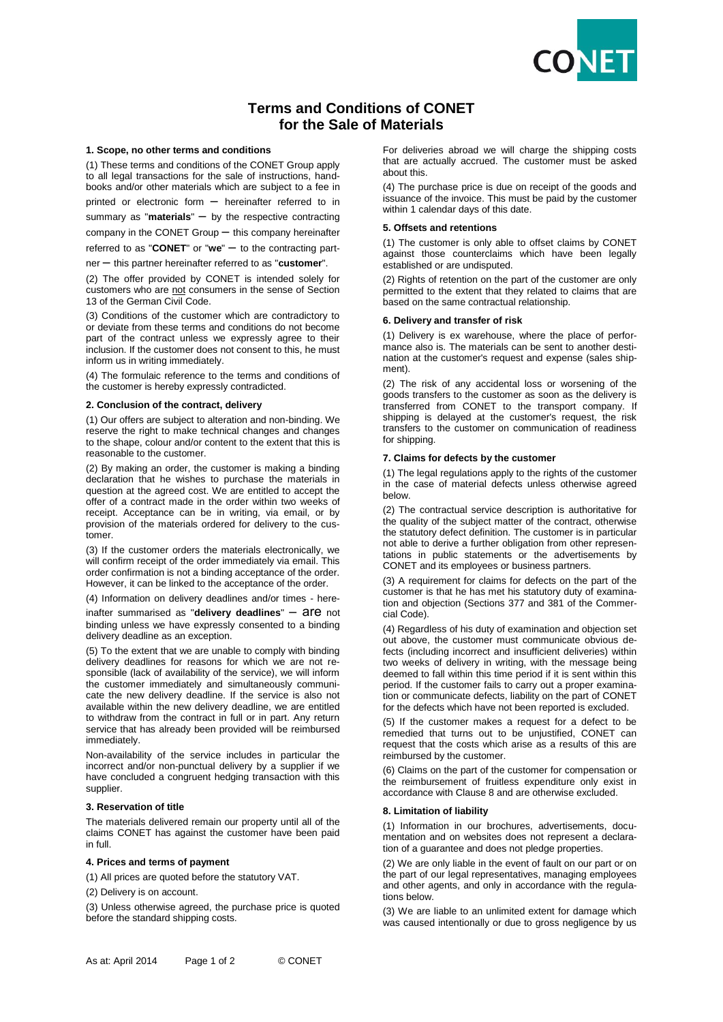

# **Terms and Conditions of CONET for the Sale of Materials**

## **1. Scope, no other terms and conditions**

(1) These terms and conditions of the CONET Group apply to all legal transactions for the sale of instructions, handbooks and/or other materials which are subject to a fee in printed or electronic form – hereinafter referred to in summary as "**materials**" – by the respective contracting

company in the CONET Group – this company hereinafter

referred to as "**CONET**" or "**we**" – to the contracting part-

ner – this partner hereinafter referred to as "**customer**".

(2) The offer provided by CONET is intended solely for customers who are not consumers in the sense of Section 13 of the German Civil Code.

(3) Conditions of the customer which are contradictory to or deviate from these terms and conditions do not become part of the contract unless we expressly agree to their inclusion. If the customer does not consent to this, he must inform us in writing immediately.

(4) The formulaic reference to the terms and conditions of the customer is hereby expressly contradicted.

#### **2. Conclusion of the contract, delivery**

(1) Our offers are subject to alteration and non-binding. We reserve the right to make technical changes and changes to the shape, colour and/or content to the extent that this is reasonable to the customer.

(2) By making an order, the customer is making a binding declaration that he wishes to purchase the materials in question at the agreed cost. We are entitled to accept the offer of a contract made in the order within two weeks of receipt. Acceptance can be in writing, via email, or by provision of the materials ordered for delivery to the customer.

(3) If the customer orders the materials electronically, we will confirm receipt of the order immediately via email. This order confirmation is not a binding acceptance of the order. However, it can be linked to the acceptance of the order.

(4) Information on delivery deadlines and/or times - here-

inafter summarised as "delivery deadlines" - are not binding unless we have expressly consented to a binding delivery deadline as an exception.

(5) To the extent that we are unable to comply with binding delivery deadlines for reasons for which we are not responsible (lack of availability of the service), we will inform the customer immediately and simultaneously communicate the new delivery deadline. If the service is also not available within the new delivery deadline, we are entitled to withdraw from the contract in full or in part. Any return service that has already been provided will be reimbursed immediately.

Non-availability of the service includes in particular the incorrect and/or non-punctual delivery by a supplier if we have concluded a congruent hedging transaction with this supplier.

### **3. Reservation of title**

The materials delivered remain our property until all of the claims CONET has against the customer have been paid in full.

#### **4. Prices and terms of payment**

(1) All prices are quoted before the statutory VAT.

(2) Delivery is on account.

(3) Unless otherwise agreed, the purchase price is quoted before the standard shipping costs.

For deliveries abroad we will charge the shipping costs that are actually accrued. The customer must be asked about this.

(4) The purchase price is due on receipt of the goods and issuance of the invoice. This must be paid by the customer within 1 calendar days of this date.

## **5. Offsets and retentions**

(1) The customer is only able to offset claims by CONET against those counterclaims which have been legally established or are undisputed.

(2) Rights of retention on the part of the customer are only permitted to the extent that they related to claims that are based on the same contractual relationship.

## **6. Delivery and transfer of risk**

(1) Delivery is ex warehouse, where the place of performance also is. The materials can be sent to another destination at the customer's request and expense (sales shipment).

(2) The risk of any accidental loss or worsening of the goods transfers to the customer as soon as the delivery is transferred from CONET to the transport company. If shipping is delayed at the customer's request, the risk transfers to the customer on communication of readiness for shipping.

### **7. Claims for defects by the customer**

(1) The legal regulations apply to the rights of the customer in the case of material defects unless otherwise agreed below.

(2) The contractual service description is authoritative for the quality of the subject matter of the contract, otherwise the statutory defect definition. The customer is in particular not able to derive a further obligation from other representations in public statements or the advertisements by CONET and its employees or business partners.

(3) A requirement for claims for defects on the part of the customer is that he has met his statutory duty of examination and objection (Sections 377 and 381 of the Commercial Code).

(4) Regardless of his duty of examination and objection set out above, the customer must communicate obvious defects (including incorrect and insufficient deliveries) within two weeks of delivery in writing, with the message being deemed to fall within this time period if it is sent within this period. If the customer fails to carry out a proper examination or communicate defects, liability on the part of CONET for the defects which have not been reported is excluded.

(5) If the customer makes a request for a defect to be remedied that turns out to be unjustified, CONET can request that the costs which arise as a results of this are reimbursed by the customer.

(6) Claims on the part of the customer for compensation or the reimbursement of fruitless expenditure only exist in accordance with Clause 8 and are otherwise excluded.

# **8. Limitation of liability**

(1) Information in our brochures, advertisements, documentation and on websites does not represent a declaration of a guarantee and does not pledge properties.

(2) We are only liable in the event of fault on our part or on the part of our legal representatives, managing employees and other agents, and only in accordance with the regulations below.

(3) We are liable to an unlimited extent for damage which was caused intentionally or due to gross negligence by us